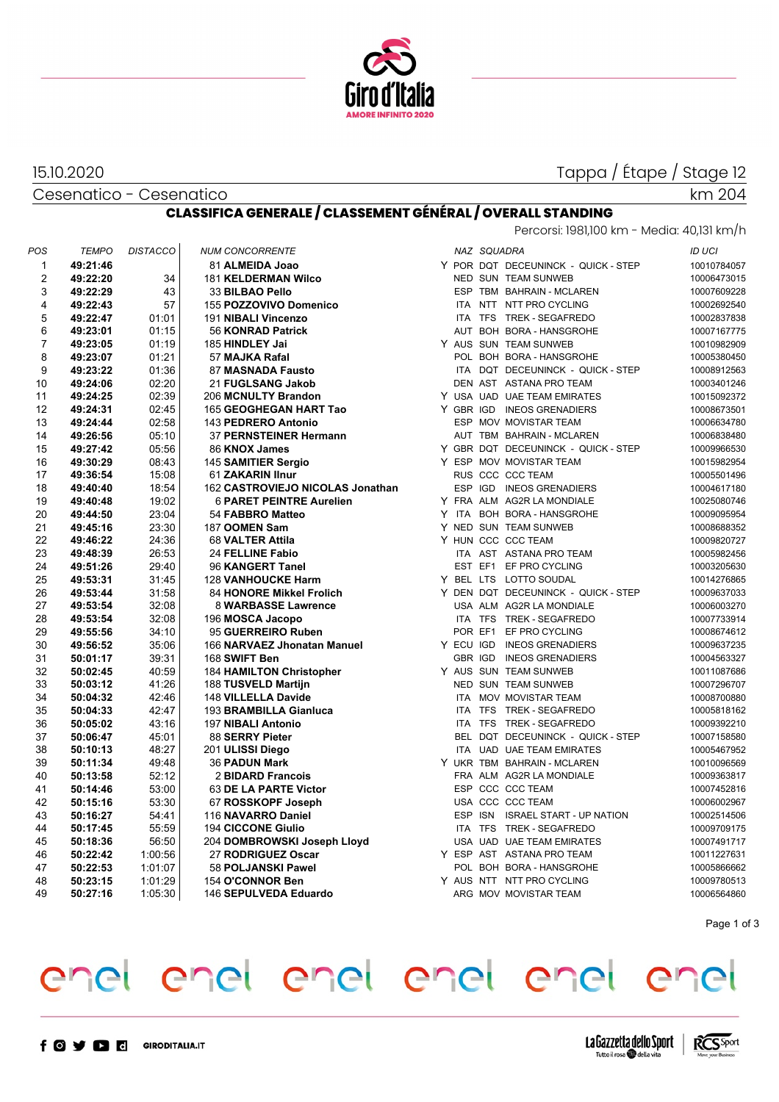

#### 15.10.2020

Tappa / Étape / Stage 12

km 204

Cesenatico - Cesenatico

#### **CLASSIFICA GENERALE / CLASSEMENT GÉNÉRAL / OVERALL STANDING** Percorsi: 1981,100 km - Media: 40,131 km/h

| POS            | <b>TEMPO</b> | <b>DISTACCO</b> | <b>NUM CONCORRENTE</b>           |  | NAZ SQUADRA |                                     | <b>ID UCI</b> |
|----------------|--------------|-----------------|----------------------------------|--|-------------|-------------------------------------|---------------|
| 1              | 49:21:46     |                 | 81 ALMEIDA Joao                  |  |             | Y POR DQT DECEUNINCK - QUICK - STEP | 10010784057   |
| 2              | 49:22:20     | 34              | <b>181 KELDERMAN Wilco</b>       |  |             | NED SUN TEAM SUNWEB                 | 10006473015   |
| 3              | 49:22:29     | 43              | 33 BILBAO Pello                  |  |             | ESP TBM BAHRAIN - MCLAREN           | 10007609228   |
| $\overline{4}$ | 49:22:43     | 57              | 155 POZZOVIVO Domenico           |  |             | ITA NTT NTT PRO CYCLING             | 10002692540   |
| 5              | 49:22:47     | 01:01           | 191 NIBALI Vincenzo              |  |             | ITA TFS TREK - SEGAFREDO            | 10002837838   |
| 6              | 49:23:01     | 01:15           | 56 KONRAD Patrick                |  |             | AUT BOH BORA - HANSGROHE            | 10007167775   |
| $\overline{7}$ | 49:23:05     | 01:19           | 185 HINDLEY Jai                  |  |             | Y AUS SUN TEAM SUNWEB               | 10010982909   |
| 8              | 49:23:07     | 01:21           | 57 MAJKA Rafal                   |  |             | POL BOH BORA - HANSGROHE            | 10005380450   |
| 9              | 49:23:22     | 01:36           | 87 MASNADA Fausto                |  |             | ITA DQT DECEUNINCK - QUICK - STEP   | 10008912563   |
| 10             | 49:24:06     | 02:20           | 21 FUGLSANG Jakob                |  |             | DEN AST ASTANA PRO TEAM             | 10003401246   |
| 11             | 49:24:25     | 02:39           | 206 MCNULTY Brandon              |  |             | Y USA UAD UAE TEAM EMIRATES         | 10015092372   |
| 12             | 49:24:31     | 02:45           | 165 GEOGHEGAN HART Tao           |  |             | Y GBR IGD INEOS GRENADIERS          | 10008673501   |
| 13             | 49:24:44     | 02:58           | 143 PEDRERO Antonio              |  |             | ESP MOV MOVISTAR TEAM               | 10006634780   |
| 14             | 49:26:56     | 05:10           | 37 PERNSTEINER Hermann           |  |             | AUT TBM BAHRAIN - MCLAREN           | 10006838480   |
| 15             | 49:27:42     | 05:56           | 86 KNOX James                    |  |             | Y GBR DQT DECEUNINCK - QUICK - STEP | 10009966530   |
| 16             | 49:30:29     | 08:43           | 145 SAMITIER Sergio              |  |             | Y ESP MOV MOVISTAR TEAM             | 10015982954   |
| 17             | 49:36:54     | 15:08           | 61 ZAKARIN IInur                 |  |             | RUS CCC CCC TEAM                    | 10005501496   |
| 18             | 49:40:40     | 18:54           | 162 CASTROVIEJO NICOLAS Jonathan |  |             | ESP IGD INEOS GRENADIERS            | 10004617180   |
| 19             | 49:40:48     | 19:02           | <b>6 PARET PEINTRE Aurelien</b>  |  |             | Y FRA ALM AG2R LA MONDIALE          | 10025080746   |
| 20             | 49:44:50     | 23:04           | 54 FABBRO Matteo                 |  |             | Y ITA BOH BORA - HANSGROHE          | 10009095954   |
| 21             | 49:45:16     | 23:30           | 187 OOMEN Sam                    |  |             | Y NED SUN TEAM SUNWEB               | 10008688352   |
| 22             | 49:46:22     | 24:36           | 68 VALTER Attila                 |  |             | Y HUN CCC CCC TEAM                  | 10009820727   |
| 23             | 49:48:39     | 26:53           | 24 FELLINE Fabio                 |  |             | ITA AST ASTANA PRO TEAM             | 10005982456   |
| 24             | 49:51:26     | 29:40           | 96 KANGERT Tanel                 |  |             | EST EF1 EF PRO CYCLING              | 10003205630   |
| 25             | 49:53:31     | 31:45           | <b>128 VANHOUCKE Harm</b>        |  |             | Y BEL LTS LOTTO SOUDAL              | 10014276865   |
| 26             | 49:53:44     | 31:58           | 84 HONORE Mikkel Frolich         |  |             | Y DEN DQT DECEUNINCK - QUICK - STEP | 10009637033   |
| 27             | 49:53:54     | 32:08           | 8 WARBASSE Lawrence              |  |             | USA ALM AG2R LA MONDIALE            | 10006003270   |
| 28             | 49:53:54     | 32:08           | 196 MOSCA Jacopo                 |  |             | ITA TFS TREK - SEGAFREDO            | 10007733914   |
| 29             | 49:55:56     | 34:10           | 95 GUERREIRO Ruben               |  |             | POR EF1 EF PRO CYCLING              | 10008674612   |
| 30             | 49:56:52     | 35:06           | 166 NARVAEZ Jhonatan Manuel      |  |             | Y ECU IGD INEOS GRENADIERS          | 10009637235   |
| 31             | 50:01:17     | 39:31           | 168 SWIFT Ben                    |  | GBR IGD     | <b>INEOS GRENADIERS</b>             | 10004563327   |
| 32             | 50:02:45     | 40:59           | <b>184 HAMILTON Christopher</b>  |  |             | Y AUS SUN TEAM SUNWEB               | 10011087686   |
| 33             | 50:03:12     | 41:26           | 188 TUSVELD Martijn              |  |             | NED SUN TEAM SUNWEB                 | 10007296707   |
| 34             | 50:04:32     | 42:46           | 148 VILLELLA Davide              |  |             | ITA MOV MOVISTAR TEAM               | 10008700880   |
| 35             | 50:04:33     | 42:47           | 193 BRAMBILLA Gianluca           |  |             | ITA TFS TREK - SEGAFREDO            | 10005818162   |
| 36             | 50:05:02     | 43:16           | 197 NIBALI Antonio               |  |             | ITA TFS TREK - SEGAFREDO            | 10009392210   |
| 37             | 50:06:47     | 45.01           | 88 SERRY Pieter                  |  |             | BEL DQT DECEUNINCK - QUICK - STEP   | 10007158580   |
| 38             | 50:10:13     | 48:27           | 201 ULISSI Diego                 |  |             | ITA UAD UAE TEAM EMIRATES           | 10005467952   |
| 39             | 50:11:34     | 49.48           | <b>36 PADUN Mark</b>             |  |             | Y UKR TBM BAHRAIN - MCLAREN         | 10010096569   |
| 40             | 50:13:58     | 52:12           | 2 BIDARD Francois                |  |             | FRA ALM AG2R LA MONDIALE            | 10009363817   |
| 41             | 50:14:46     | 53:00           | 63 DE LA PARTE Victor            |  |             | ESP CCC CCC TEAM                    | 10007452816   |
| 42             | 50:15:16     | 53:30           | 67 ROSSKOPF Joseph               |  |             | USA CCC CCC TEAM                    | 10006002967   |
| 43             | 50:16:27     | 54:41           | 116 NAVARRO Daniel               |  |             | ESP ISN ISRAEL START - UP NATION    | 10002514506   |
| 44             | 50:17:45     | 55:59           | <b>194 CICCONE Giulio</b>        |  |             | ITA TFS TREK - SEGAFREDO            | 10009709175   |
| 45             | 50:18:36     | 56:50           | 204 DOMBROWSKI Joseph Lloyd      |  |             | USA UAD UAE TEAM EMIRATES           | 10007491717   |
| 46             | 50:22:42     | 1:00:56         | 27 RODRIGUEZ Oscar               |  |             | Y ESP AST ASTANA PRO TEAM           | 10011227631   |
| 47             | 50:22:53     | 1:01:07         | 58 POLJANSKI Pawel               |  |             | POL BOH BORA - HANSGROHE            | 10005866662   |
| 48             | 50:23:15     | 1:01:29         | 154 O'CONNOR Ben                 |  |             | Y AUS NTT NTT PRO CYCLING           | 10009780513   |
| 49             | 50:27:16     | 1:05:30         | 146 SEPULVEDA Eduardo            |  |             | ARG MOV MOVISTAR TEAM               | 10006564860   |

Page 1 of 3

## enel enel enel enel enel enel



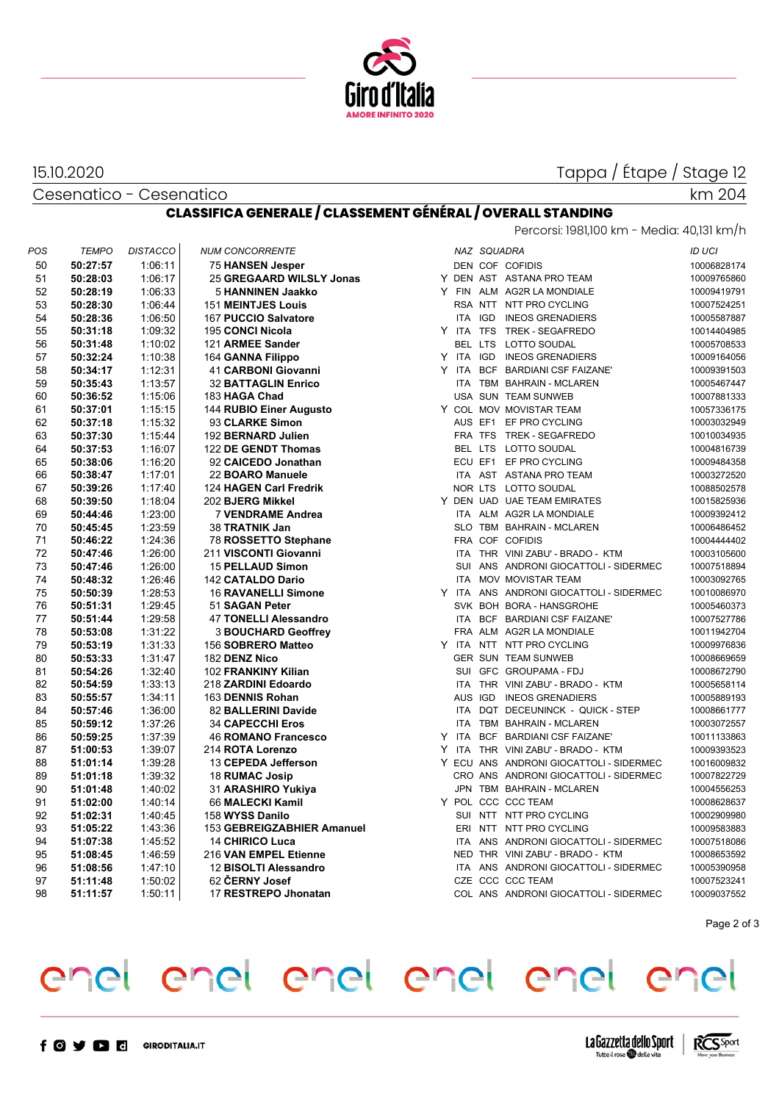

#### 15.10.2020

Cesenatico - Cesenatico

### Tappa / Étape / Stage 12

km 204

## **CLASSIFICA GENERALE / CLASSEMENT GÉNÉRAL / OVERALL STANDING**

|         | Percorsi: 1981,100 km - Media: 40,131 km/h |  |         |  |
|---------|--------------------------------------------|--|---------|--|
| 711ADRA |                                            |  | ורוו חו |  |

| POS | TEMPO    | <b>DISTACCO</b> | <b>NUM CONCORRENTE</b>       |            | NAZ SQUADRA |                                         | ID UCI      |
|-----|----------|-----------------|------------------------------|------------|-------------|-----------------------------------------|-------------|
| 50  | 50:27:57 | 1:06:11         | 75 HANSEN Jesper             |            |             | DEN COF COFIDIS                         | 10006828174 |
| 51  | 50:28:03 | 1:06:17         | 25 GREGAARD WILSLY Jonas     |            |             | Y DEN AST ASTANA PRO TEAM               | 10009765860 |
| 52  | 50:28:19 | 1:06:33         | 5 HANNINEN Jaakko            |            |             | Y FIN ALM AG2R LA MONDIALE              | 10009419791 |
| 53  | 50:28:30 | 1.06:44         | <b>151 MEINTJES Louis</b>    |            |             | RSA NTT NTT PRO CYCLING                 | 10007524251 |
| 54  | 50:28:36 | 1:06:50         | 167 PUCCIO Salvatore         |            |             | ITA IGD INEOS GRENADIERS                | 10005587887 |
| 55  | 50:31:18 | 1:09:32         | 195 CONCI Nicola             |            |             | Y ITA TFS TREK - SEGAFREDO              | 10014404985 |
| 56  | 50:31:48 | 1:10:02         | 121 ARMEE Sander             |            |             | BEL LTS LOTTO SOUDAL                    | 10005708533 |
| 57  | 50:32:24 | 1:10:38         | 164 GANNA Filippo            |            |             | Y ITA IGD INEOS GRENADIERS              | 10009164056 |
| 58  | 50:34:17 | 1:12:31         | 41 CARBONI Giovanni          |            |             | Y ITA BCF BARDIANI CSF FAIZANE'         | 10009391503 |
| 59  | 50:35:43 | 1:13:57         | <b>32 BATTAGLIN Enrico</b>   |            |             | ITA TBM BAHRAIN - MCLAREN               | 10005467447 |
| 60  | 50:36:52 | 1:15:06         | 183 HAGA Chad                |            |             | USA SUN TEAM SUNWEB                     | 10007881333 |
| 61  | 50:37:01 | 1:15:15         | 144 RUBIO Einer Augusto      |            |             | Y COL MOV MOVISTAR TEAM                 | 10057336175 |
| 62  | 50:37:18 | 1:15:32         | 93 CLARKE Simon              |            |             | AUS EF1 EF PRO CYCLING                  | 10003032949 |
| 63  | 50:37:30 | 1:15:44         | 192 BERNARD Julien           |            |             | FRA TFS TREK - SEGAFREDO                | 10010034935 |
| 64  | 50:37:53 | 1:16:07         | 122 DE GENDT Thomas          |            |             | BEL LTS LOTTO SOUDAL                    | 10004816739 |
| 65  | 50:38:06 | 1:16:20         | 92 CAICEDO Jonathan          |            |             | ECU EF1 EF PRO CYCLING                  | 10009484358 |
| 66  | 50:38:47 | 1:17:01         | 22 BOARO Manuele             |            |             | ITA AST ASTANA PRO TEAM                 | 10003272520 |
| 67  | 50:39:26 | 1:17:40         | 124 HAGEN Carl Fredrik       |            |             | NOR LTS LOTTO SOUDAL                    | 10088502578 |
| 68  | 50:39:50 | 1:18:04         | 202 BJERG Mikkel             |            |             | Y DEN UAD UAE TEAM EMIRATES             | 10015825936 |
| 69  | 50:44:46 | 1:23:00         | 7 VENDRAME Andrea            |            |             | ITA ALM AG2R LA MONDIALE                | 10009392412 |
| 70  | 50:45:45 | 1:23:59         | 38 TRATNIK Jan               |            |             | SLO TBM BAHRAIN - MCLAREN               | 10006486452 |
| 71  | 50:46:22 | 1:24:36         | 78 ROSSETTO Stephane         |            |             | FRA COF COFIDIS                         | 10004444402 |
| 72  | 50:47:46 | 1:26:00         | 211 VISCONTI Giovanni        |            |             | ITA THR VINI ZABU' - BRADO - KTM        | 10003105600 |
| 73  | 50:47:46 | 1:26:00         | <b>15 PELLAUD Simon</b>      |            |             | SUI ANS ANDRONI GIOCATTOLI - SIDERMEC   | 10007518894 |
| 74  | 50:48:32 | 1:26:46         | <b>142 CATALDO Dario</b>     |            |             | ITA MOV MOVISTAR TEAM                   | 10003092765 |
| 75  | 50:50:39 | 1:28:53         | <b>16 RAVANELLI Simone</b>   |            |             | Y ITA ANS ANDRONI GIOCATTOLI - SIDERMEC | 10010086970 |
| 76  | 50:51:31 | 1:29:45         | 51 SAGAN Peter               |            |             | SVK BOH BORA - HANSGROHE                | 10005460373 |
| 77  | 50:51:44 | 1.29:58         | <b>47 TONELLI Alessandro</b> |            |             | ITA BCF BARDIANI CSF FAIZANE'           | 10007527786 |
| 78  | 50:53:08 | 1:31:22         | <b>3 BOUCHARD Geoffrey</b>   |            |             | FRA ALM AG2R LA MONDIALE                | 10011942704 |
| 79  | 50:53:19 | 1:31:33         | 156 SOBRERO Matteo           |            |             | Y ITA NTT NTT PRO CYCLING               | 10009976836 |
| 80  | 50:53:33 | 1:31:47         | 182 DENZ Nico                |            |             | GER SUN TEAM SUNWEB                     | 10008669659 |
| 81  | 50:54:26 | 1:32:40         | 102 FRANKINY Kilian          |            |             | SUI GFC GROUPAMA - FDJ                  | 10008672790 |
| 82  | 50:54:59 | 1:33:13         | 218 ZARDINI Edoardo          |            |             | ITA THR VINI ZABU' - BRADO - KTM        | 10005658114 |
| 83  | 50:55:57 | 1:34:11         | 163 DENNIS Rohan             |            |             | AUS IGD INEOS GRENADIERS                | 10005889193 |
| 84  | 50:57:46 | 1:36:00         | 82 BALLERINI Davide          |            |             | ITA DQT DECEUNINCK - QUICK - STEP       | 10008661777 |
| 85  | 50:59:12 | 1:37:26         | <b>34 CAPECCHI Eros</b>      |            |             | ITA TBM BAHRAIN - MCLAREN               | 10003072557 |
| 86  | 50:59:25 | 1:37:39         | 46 ROMANO Francesco          |            |             | Y ITA BCF BARDIANI CSF FAIZANE'         | 10011133863 |
| 87  | 51:00:53 | 1:39:07         | 214 ROTA Lorenzo             |            |             | Y ITA THR VINI ZABU' - BRADO - KTM      | 10009393523 |
| 88  | 51:01:14 | 1:39:28         | 13 CEPEDA Jefferson          |            |             | Y ECU ANS ANDRONI GIOCATTOLI - SIDERMEC | 10016009832 |
| 89  | 51:01:18 | 1:39:32         | 18 RUMAC Josip               |            |             | CRO ANS ANDRONI GIOCATTOLI - SIDERMEC   | 10007822729 |
| 90  | 51:01:48 | 1:40:02         | 31 ARASHIRO Yukiya           |            |             | JPN TBM BAHRAIN - MCLAREN               | 10004556253 |
| 91  | 51:02:00 | 1:40:14         | 66 MALECKI Kamil             |            |             | Y POL CCC CCC TEAM                      | 10008628637 |
| 92  | 51:02:31 | 1:40:45         | 158 WYSS Danilo              |            |             | SUI NTT NTT PRO CYCLING                 | 10002909980 |
| 93  | 51:05:22 | 1:43:36         | 153 GEBREIGZABHIER Amanuel   |            |             | ERI NTT NTT PRO CYCLING                 | 10009583883 |
| 94  | 51:07:38 | 1:45:52         | <b>14 CHIRICO Luca</b>       | <b>ITA</b> |             | ANS ANDRONI GIOCATTOLI - SIDERMEC       | 10007518086 |
| 95  | 51:08:45 | 1.46.59         | 216 VAN EMPEL Etienne        |            |             | NED THR VINI ZABU' - BRADO - KTM        | 10008653592 |
| 96  | 51:08:56 | 1.47.10         | 12 BISOLTI Alessandro        |            |             | ITA ANS ANDRONI GIOCATTOLI - SIDERMEC   | 10005390958 |
| 97  | 51:11:48 | 1:50:02         | 62 CERNY Josef               |            |             | CZE CCC CCC TEAM                        | 10007523241 |
| 98  | 51:11:57 | 1:50:11         | 17 RESTREPO Jhonatan         |            |             | COL ANS ANDRONI GIOCATTOLI - SIDERMEC   | 10009037552 |

Page 2 of 3

# enel enel enel enel